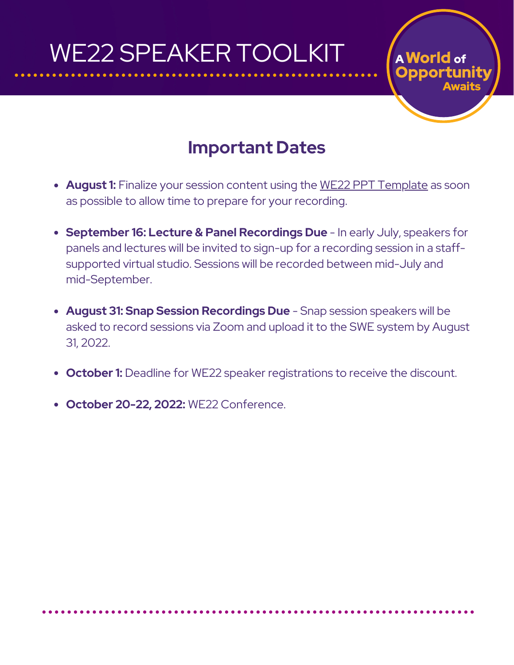# WE22 SPEAKER TOOLKIT

### **Important Dates**

A World of

- **August 1:** Finalize your session content using the WE22 PPT [Template](https://drive.google.com/file/d/1j-9cyf5HhZhj4uX5XXXImAFtlFhtf5x9/view) as soon as possible to allow time to prepare for your recording.
- **September 16: Lecture & Panel Recordings Due** In early July, speakers for panels and lectures will be invited to sign-up for a recording session in a staffsupported virtual studio. Sessions will be recorded between mid-July and mid-September.
- **August 31: Snap Session Recordings Due** Snap session speakers will be asked to record sessions via Zoom and upload it to the SWE system by August 31, 2022.
- **October 1:** Deadline for WE22 speaker registrations to receive the discount.
- **October 20-22, 2022:** WE22 Conference.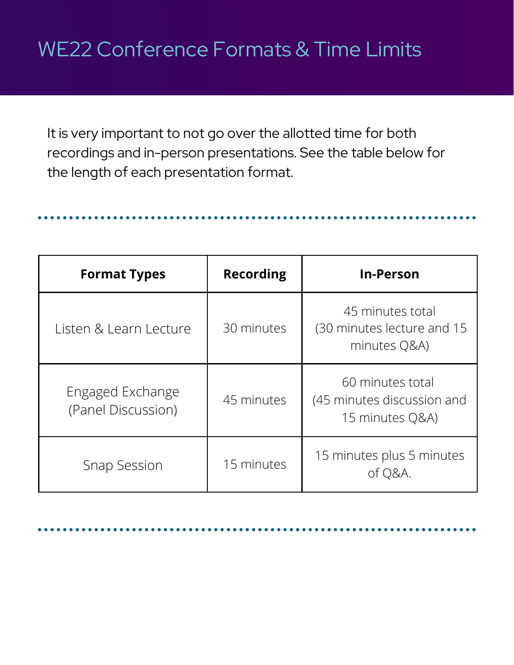### WE22 Conference Formats & Time Limits

It is very important to not go over the allotted time for both recordings and in-person presentations. See the table below for the length of each presentation format.

**Format Types Recording In-Person** Listen & Learn Lecture | 30 minutes 45 minutes total (30 minutes lecture and 15 minutes Q&A) Engaged Exchange (Panel Discussion) 45 minutes 60 minutes total (45 minutes discussion and 15 minutes Q&A) Snap Session 15 minutes 15 minutes plus 5 minutes of Q&A.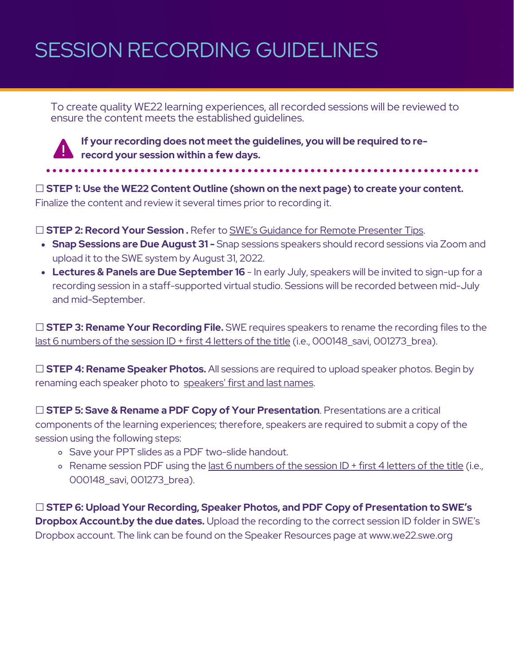### SESSION RECORDING GUIDELINES

To create quality WE22 learning experiences, all recorded sessions will be reviewed to ensure the content meets the established guidelines.



**If your recording does not meet the guidelines, you will be required to rerecord your session within a few days.**

☐ **STEP 1: Use the WE22 Content Outline (shown on the next page) to create your content.** Finalize the content and review it several times prior to recording it.

☐ **STEP 2: Record Your Session .** Refer to SWE's Guidance for Remote [Presenter](https://we21.swe.org/wp-content/uploads/2021/07/20-WE21-004-WE21-Branded-Documents-Guidance-Sheet.pdf) Tips.

- **Snap Sessions are Due August 31 -** Snap sessions speakers should record sessions via Zoom and upload it to the SWE system by August 31, 2022.
- **Lectures & Panels are Due September 16** In early July, speakers will be invited to sign-up for a recording session in a staff-supported virtual studio. Sessions will be recorded between mid-July and mid-September.

☐ **STEP 3: Rename Your Recording File.** SWE requires speakers to rename the recording files to the last 6 numbers of the session ID + first 4 letters of the title (i.e., 000148 savi, 001273 brea).

☐ **STEP 4: Rename Speaker Photos.** All sessions are required to upload speaker photos. Begin by renaming each speaker photo to speakers' first and last names.

☐ **STEP 5: Save & Rename a PDF Copy of Your Presentation**. Presentations are a critical components of the learning experiences; therefore, speakers are required to submit a copy of the session using the following steps:

- Save your PPT slides as a PDF [two-slide](https://nutsandboltsspeedtraining.com/powerpoint-tutorials/how-to-print-multiple-slides-on-one-page/) handout.
- o Rename session PDF using the last 6 numbers of the session ID + first 4 letters of the title (i.e., 000148\_savi, 001273\_brea).

☐ **STEP 6: Upload Your Recording, Speaker Photos, and PDF Copy of Presentation to SWE's Dropbox Account.by the due dates.** Upload the recording to the correct session ID folder in [SWE's](https://www.dropbox.com/sh/wzyvx1g2pjaf3k4/AADI-tUMUJg9kfLc8ASiWHaAa?dl=0) [Dropbox](https://www.dropbox.com/sh/wzyvx1g2pjaf3k4/AADI-tUMUJg9kfLc8ASiWHaAa?dl=0) account. The link can be found on the Speaker Resources page at www.we22.swe.org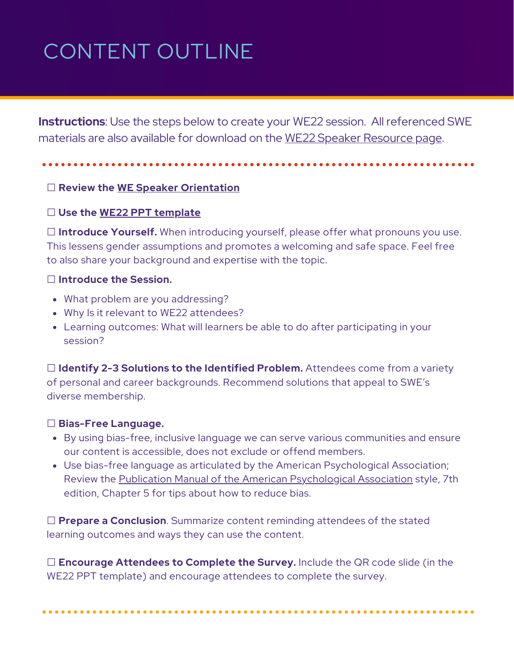# CONTENT OUTLINE

**Instructions**: Use the steps below to create your WE22 session. All referenced SWE materials are also available for download on the WE22 Speaker [Resource](https://we22.swe.org/resources/speaker-resources/) page.

#### ☐ **Review the WE Speaker [Orientation](https://rise.articulate.com/share/T5RePAJ6Szufb8wgpN3olfaIugzuPvrK#/)**

#### ☐ **Use the WE22 PPT [template](https://drive.google.com/file/d/1j-9cyf5HhZhj4uX5XXXImAFtlFhtf5x9/view)**

☐ **Introduce Yourself.** When introducing yourself, please offer what pronouns you use. This lessens gender assumptions and promotes a welcoming and safe space. Feel free to also share your background and expertise with the topic.

#### ☐ **Introduce the Session.**

- What problem are you addressing?
- Why Is it relevant to WE22 attendees?
- Learning outcomes: What will learners be able to do after participating in your session?

☐ **Identify 2-3 Solutions to the Identified Problem.** Attendees come from a variety of personal and career backgrounds. Recommend solutions that appeal to SWE's diverse membership.

#### ☐ **Bias-Free Language.**

- By using bias-free, inclusive language we can serve various communities and ensure our content is accessible, does not exclude or offend members.
- Use [bias-free](https://apastyle.apa.org/style-grammar-guidelines/bias-free-language/historical-context) language as articulated by the American Psychological Association; Review the Publication Manual of the American [Psychological](https://apastyle.apa.org/style-grammar-guidelines/bias-free-language) Association style, 7th edition, Chapter 5 for tips about how to reduce bias.

☐ **Prepare a Conclusion**. Summarize content reminding attendees of the stated learning outcomes and ways they can use the content.

☐ **Encourage Attendees to Complete the Survey.** Include the QR code slide (in the WE22 PPT template) and encourage attendees to complete the survey.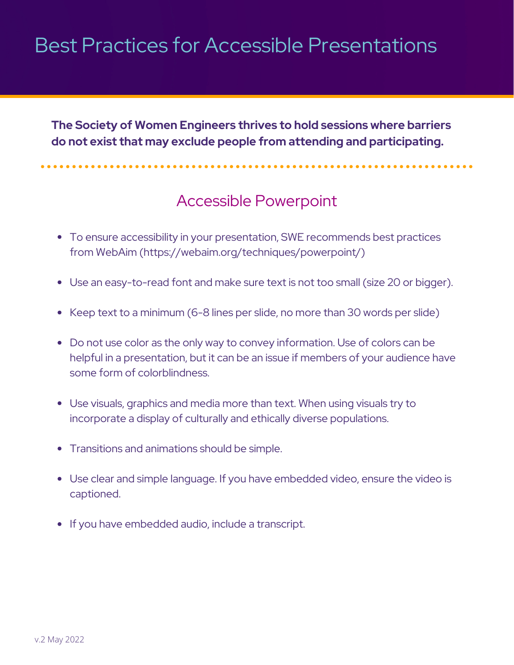### Best Practices for Accessible Presentations

**The Society of Women Engineers thrives to hold sessions where barriers do not exist that may exclude people from attending and participating.**

### Accessible Powerpoint

\*\*\*\*\*\*\*\*\*\*\*\*\*\*\*\*\*\*\*\*\*

- To ensure accessibility in your presentation, SWE recommends best practices from WebAim [\(https://webaim.org/techniques/powerpoint/](https://webaim.org/techniques/powerpoint/))
- Use an easy-to-read font and make sure text is not too small (size 20 or bigger).
- Keep text to a minimum (6-8 lines per slide, no more than 30 words per slide)
- Do not use color as the only way to convey information. Use of colors can be helpful in a presentation, but it can be an issue if members of your audience have some form of colorblindness.
- Use visuals, graphics and media more than text. When using visuals try to incorporate a display of culturally and ethically diverse populations.
- Transitions and animations should be simple.
- Use clear and simple language. If you have embedded video, ensure the video is captioned.
- If you have embedded audio, include a transcript.